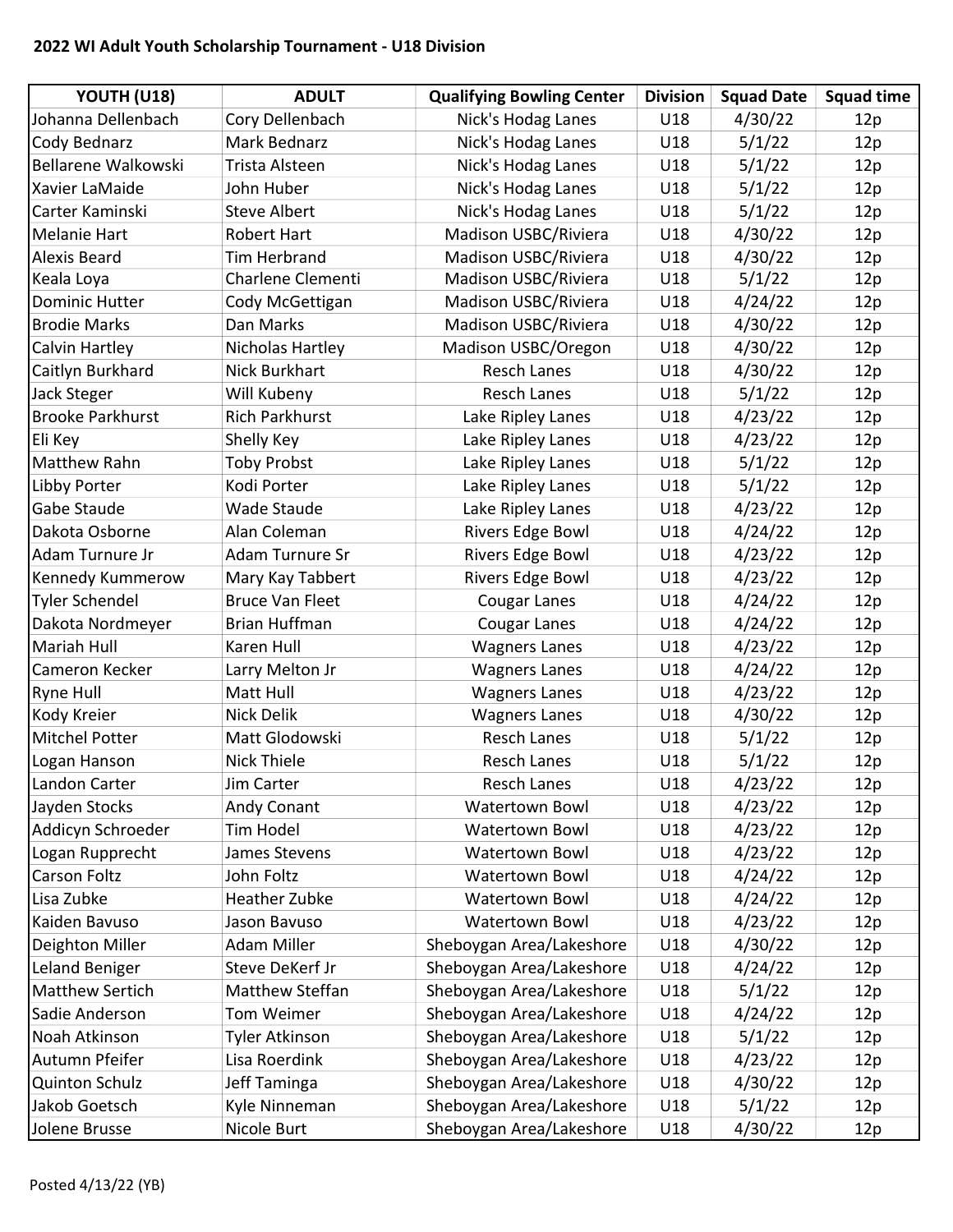## 2022 WI Adult Youth Scholarship Tournament - U18 Division

| YOUTH (U18)                | <b>ADULT</b>           | <b>Qualifying Bowling Center</b> | <b>Division</b> | <b>Squad Date</b> | <b>Squad time</b> |
|----------------------------|------------------------|----------------------------------|-----------------|-------------------|-------------------|
| Johanna Dellenbach         | Cory Dellenbach        | Nick's Hodag Lanes               | U18             | 4/30/22           | 12p               |
| Cody Bednarz               | <b>Mark Bednarz</b>    | Nick's Hodag Lanes               | U18             | 5/1/22            | 12p               |
| <b>Bellarene Walkowski</b> | Trista Alsteen         | Nick's Hodag Lanes               | U18             | 5/1/22            | 12p               |
| Xavier LaMaide             | John Huber             | Nick's Hodag Lanes               | U18             | 5/1/22            | 12p               |
| Carter Kaminski            | <b>Steve Albert</b>    | Nick's Hodag Lanes               | U18             | 5/1/22            | 12p               |
| Melanie Hart               | <b>Robert Hart</b>     | Madison USBC/Riviera             | U18             | 4/30/22           | 12p               |
| <b>Alexis Beard</b>        | <b>Tim Herbrand</b>    | Madison USBC/Riviera             | U18             | 4/30/22           | 12p               |
| Keala Loya                 | Charlene Clementi      | Madison USBC/Riviera             | U18             | 5/1/22            | 12p               |
| <b>Dominic Hutter</b>      | Cody McGettigan        | Madison USBC/Riviera             | U18             | 4/24/22           | 12p               |
| <b>Brodie Marks</b>        | Dan Marks              | Madison USBC/Riviera             | U18             | 4/30/22           | 12p               |
| Calvin Hartley             | Nicholas Hartley       | Madison USBC/Oregon              | U18             | 4/30/22           | 12p               |
| Caitlyn Burkhard           | Nick Burkhart          | <b>Resch Lanes</b>               | U18             | 4/30/22           | 12p               |
| Jack Steger                | Will Kubeny            | <b>Resch Lanes</b>               | U18             | 5/1/22            | 12p               |
| <b>Brooke Parkhurst</b>    | <b>Rich Parkhurst</b>  | Lake Ripley Lanes                | U18             | 4/23/22           | 12p               |
| Eli Key                    | Shelly Key             | Lake Ripley Lanes                | U18             | 4/23/22           | 12p               |
| Matthew Rahn               | <b>Toby Probst</b>     | Lake Ripley Lanes                | U18             | 5/1/22            | 12p               |
| Libby Porter               | Kodi Porter            | Lake Ripley Lanes                | U18             | 5/1/22            | 12p               |
| Gabe Staude                | Wade Staude            | Lake Ripley Lanes                | U18             | 4/23/22           | 12p               |
| Dakota Osborne             | Alan Coleman           | <b>Rivers Edge Bowl</b>          | U18             | 4/24/22           | 12p               |
| Adam Turnure Jr            | Adam Turnure Sr        | <b>Rivers Edge Bowl</b>          | U18             | 4/23/22           | 12p               |
| Kennedy Kummerow           | Mary Kay Tabbert       | <b>Rivers Edge Bowl</b>          | U18             | 4/23/22           | 12p               |
| Tyler Schendel             | <b>Bruce Van Fleet</b> | <b>Cougar Lanes</b>              | U18             | 4/24/22           | 12p               |
| Dakota Nordmeyer           | Brian Huffman          | <b>Cougar Lanes</b>              | U18             | 4/24/22           | 12p               |
| Mariah Hull                | Karen Hull             | <b>Wagners Lanes</b>             | U18             | 4/23/22           | 12p               |
| Cameron Kecker             | Larry Melton Jr        | <b>Wagners Lanes</b>             | U18             | 4/24/22           | 12p               |
| Ryne Hull                  | Matt Hull              | <b>Wagners Lanes</b>             | U18             | 4/23/22           | 12p               |
| Kody Kreier                | <b>Nick Delik</b>      | <b>Wagners Lanes</b>             | U18             | 4/30/22           | 12p               |
| <b>Mitchel Potter</b>      | Matt Glodowski         | <b>Resch Lanes</b>               | U18             | 5/1/22            | 12p               |
| Logan Hanson               | <b>Nick Thiele</b>     | <b>Resch Lanes</b>               | U18             | 5/1/22            | 12p               |
| Landon Carter              | Jim Carter             | Resch Lanes                      | U18             | 4/23/22           | 12p               |
| Jayden Stocks              | Andy Conant            | Watertown Bowl                   | U18             | 4/23/22           | 12p               |
| Addicyn Schroeder          | Tim Hodel              | <b>Watertown Bowl</b>            | U18             | 4/23/22           | 12p               |
| Logan Rupprecht            | James Stevens          | Watertown Bowl                   | U18             | 4/23/22           | 12p               |
| Carson Foltz               | John Foltz             | <b>Watertown Bowl</b>            | U18             | 4/24/22           | 12p               |
| Lisa Zubke                 | <b>Heather Zubke</b>   | <b>Watertown Bowl</b>            | U18             | 4/24/22           | 12p               |
| Kaiden Bavuso              | Jason Bavuso           | <b>Watertown Bowl</b>            | U18             | 4/23/22           | 12p               |
| Deighton Miller            | Adam Miller            | Sheboygan Area/Lakeshore         | U18             | 4/30/22           | 12p               |
| Leland Beniger             | Steve DeKerf Jr        | Sheboygan Area/Lakeshore         | U18             | 4/24/22           | 12p               |
| Matthew Sertich            | Matthew Steffan        | Sheboygan Area/Lakeshore         | U18             | 5/1/22            | 12p               |
| Sadie Anderson             | Tom Weimer             | Sheboygan Area/Lakeshore         | U18             | 4/24/22           | 12p               |
| Noah Atkinson              | <b>Tyler Atkinson</b>  | Sheboygan Area/Lakeshore         | U18             | 5/1/22            | 12p               |
| Autumn Pfeifer             | Lisa Roerdink          | Sheboygan Area/Lakeshore         | U18             | 4/23/22           | 12p               |
| <b>Quinton Schulz</b>      | Jeff Taminga           | Sheboygan Area/Lakeshore         | U18             | 4/30/22           | 12p               |
| Jakob Goetsch              | Kyle Ninneman          | Sheboygan Area/Lakeshore         | U18             | 5/1/22            | 12p               |
| Jolene Brusse              | Nicole Burt            | Sheboygan Area/Lakeshore         | U18             | 4/30/22           | 12p               |